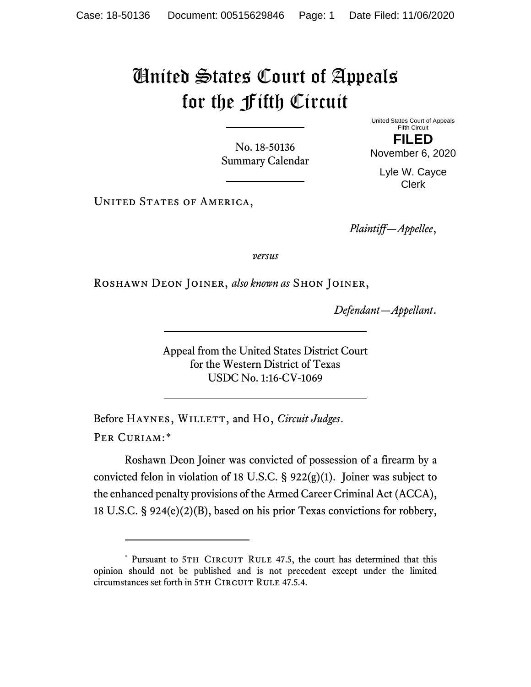## United States Court of Appeals for the Fifth Circuit

No. 18-50136 Summary Calendar United States Court of Appeals Fifth Circuit

**FILED** November 6, 2020

Lyle W. Cayce Clerk

UNITED STATES OF AMERICA,

*Plaintiff—Appellee*,

*versus*

Roshawn Deon Joiner, *also known as* Shon Joiner,

*Defendant—Appellant*.

Appeal from the United States District Court for the Western District of Texas USDC No. 1:16-CV-1069

Before HAYNES, WILLETT, and Ho, *Circuit Judges*. Per Curiam:[\\*](#page-0-0)

Roshawn Deon Joiner was convicted of possession of a firearm by a convicted felon in violation of 18 U.S.C.  $\S$  922(g)(1). Joiner was subject to the enhanced penalty provisions of the Armed Career Criminal Act (ACCA), 18 U.S.C. § 924(e)(2)(B), based on his prior Texas convictions for robbery,

<span id="page-0-0"></span><sup>\*</sup> Pursuant to 5TH CIRCUIT RULE 47.5, the court has determined that this opinion should not be published and is not precedent except under the limited circumstances set forth in 5TH CIRCUIT RULE 47.5.4.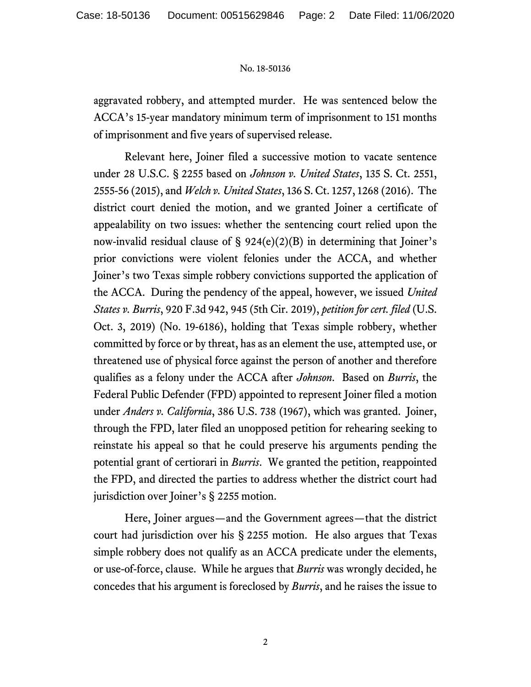## No. 18-50136

aggravated robbery, and attempted murder. He was sentenced below the ACCA's 15-year mandatory minimum term of imprisonment to 151 months of imprisonment and five years of supervised release.

Relevant here, Joiner filed a successive motion to vacate sentence under 28 U.S.C. § 2255 based on *Johnson v. United States*, 135 S. Ct. 2551, 2555-56 (2015), and *Welch v. United States*, 136 S. Ct. 1257, 1268 (2016). The district court denied the motion, and we granted Joiner a certificate of appealability on two issues: whether the sentencing court relied upon the now-invalid residual clause of  $\S$  924(e)(2)(B) in determining that Joiner's prior convictions were violent felonies under the ACCA, and whether Joiner's two Texas simple robbery convictions supported the application of the ACCA. During the pendency of the appeal, however, we issued *United States v. Burris*, 920 F.3d 942, 945 (5th Cir. 2019), *petition for cert. filed* (U.S. Oct. 3, 2019) (No. 19-6186), holding that Texas simple robbery, whether committed by force or by threat, has as an element the use, attempted use, or threatened use of physical force against the person of another and therefore qualifies as a felony under the ACCA after *Johnson*. Based on *Burris*, the Federal Public Defender (FPD) appointed to represent Joiner filed a motion under *Anders v. California*, 386 U.S. 738 (1967), which was granted. Joiner, through the FPD, later filed an unopposed petition for rehearing seeking to reinstate his appeal so that he could preserve his arguments pending the potential grant of certiorari in *Burris*. We granted the petition, reappointed the FPD, and directed the parties to address whether the district court had jurisdiction over Joiner's § 2255 motion.

Here, Joiner argues—and the Government agrees—that the district court had jurisdiction over his § 2255 motion. He also argues that Texas simple robbery does not qualify as an ACCA predicate under the elements, or use-of-force, clause. While he argues that *Burris* was wrongly decided, he concedes that his argument is foreclosed by *Burris*, and he raises the issue to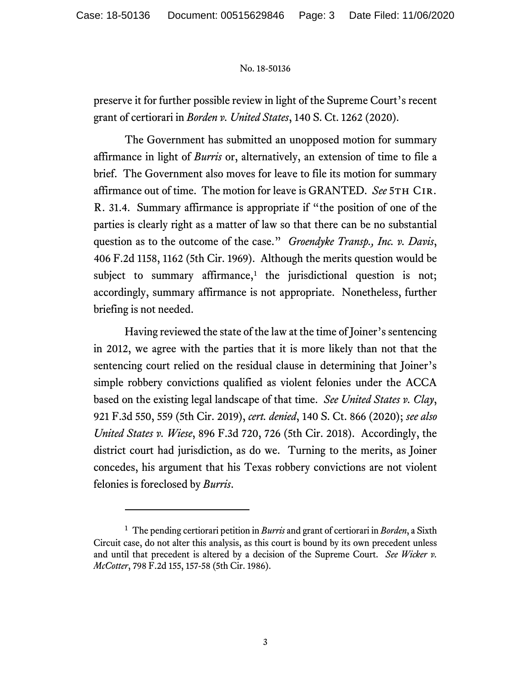## No. 18-50136

preserve it for further possible review in light of the Supreme Court's recent grant of certiorari in *Borden v. United States*, 140 S. Ct. 1262 (2020).

The Government has submitted an unopposed motion for summary affirmance in light of *Burris* or, alternatively, an extension of time to file a brief. The Government also moves for leave to file its motion for summary affirmance out of time. The motion for leave is GRANTED. *See* 5TH CIR. R. 31.4. Summary affirmance is appropriate if "the position of one of the parties is clearly right as a matter of law so that there can be no substantial question as to the outcome of the case." *Groendyke Transp., Inc. v. Davis*, 406 F.2d 1158, 1162 (5th Cir. 1969). Although the merits question would be subject to summary affirmance,<sup>[1](#page-2-0)</sup> the jurisdictional question is not; accordingly, summary affirmance is not appropriate. Nonetheless, further briefing is not needed.

Having reviewed the state of the law at the time of Joiner's sentencing in 2012, we agree with the parties that it is more likely than not that the sentencing court relied on the residual clause in determining that Joiner's simple robbery convictions qualified as violent felonies under the ACCA based on the existing legal landscape of that time. *See United States v. Clay*, 921 F.3d 550, 559 (5th Cir. 2019), *cert. denied*, 140 S. Ct. 866 (2020); *see also United States v. Wiese*, 896 F.3d 720, 726 (5th Cir. 2018). Accordingly, the district court had jurisdiction, as do we. Turning to the merits, as Joiner concedes, his argument that his Texas robbery convictions are not violent felonies is foreclosed by *Burris*.

<span id="page-2-0"></span><sup>1</sup> The pending certiorari petition in *Burris* and grant of certiorari in *Borden*, a Sixth Circuit case, do not alter this analysis, as this court is bound by its own precedent unless and until that precedent is altered by a decision of the Supreme Court. *See Wicker v. McCotter*, 798 F.2d 155, 157-58 (5th Cir. 1986).